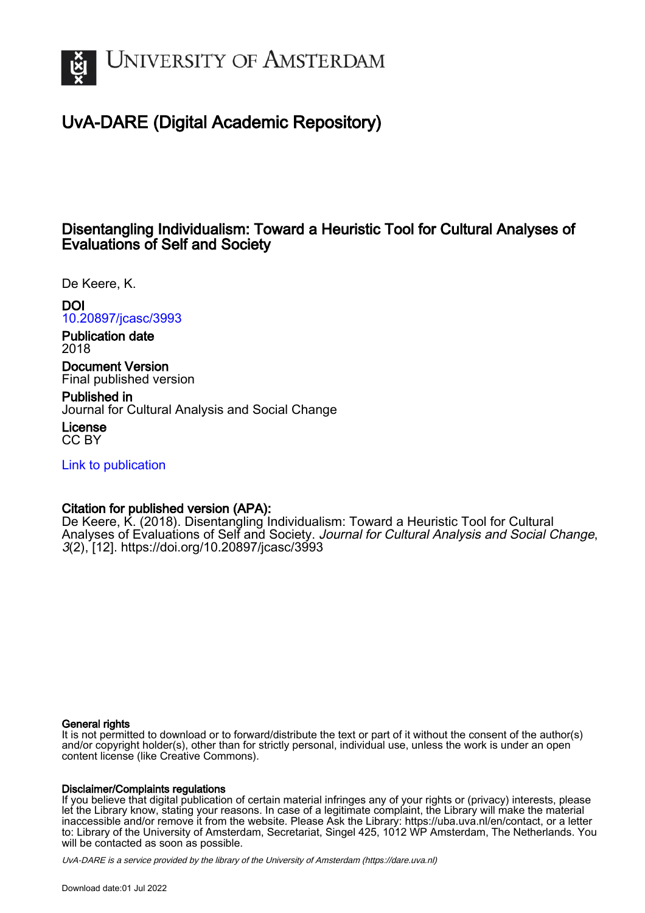

# UvA-DARE (Digital Academic Repository)

## Disentangling Individualism: Toward a Heuristic Tool for Cultural Analyses of Evaluations of Self and Society

De Keere, K.

DOI [10.20897/jcasc/3993](https://doi.org/10.20897/jcasc/3993)

Publication date 2018

Document Version Final published version

Published in Journal for Cultural Analysis and Social Change

License CC BY

[Link to publication](https://dare.uva.nl/personal/pure/en/publications/disentangling-individualism-toward-a-heuristic-tool-for-cultural-analyses-of-evaluations-of-self-and-society(9a39c49d-7b61-4bc4-885f-78815fa38a66).html)

## Citation for published version (APA):

De Keere, K. (2018). Disentangling Individualism: Toward a Heuristic Tool for Cultural Analyses of Evaluations of Self and Society. Journal for Cultural Analysis and Social Change, 3(2), [12]. <https://doi.org/10.20897/jcasc/3993>

### General rights

It is not permitted to download or to forward/distribute the text or part of it without the consent of the author(s) and/or copyright holder(s), other than for strictly personal, individual use, unless the work is under an open content license (like Creative Commons).

### Disclaimer/Complaints regulations

If you believe that digital publication of certain material infringes any of your rights or (privacy) interests, please let the Library know, stating your reasons. In case of a legitimate complaint, the Library will make the material inaccessible and/or remove it from the website. Please Ask the Library: https://uba.uva.nl/en/contact, or a letter to: Library of the University of Amsterdam, Secretariat, Singel 425, 1012 WP Amsterdam, The Netherlands. You will be contacted as soon as possible.

UvA-DARE is a service provided by the library of the University of Amsterdam (http*s*://dare.uva.nl)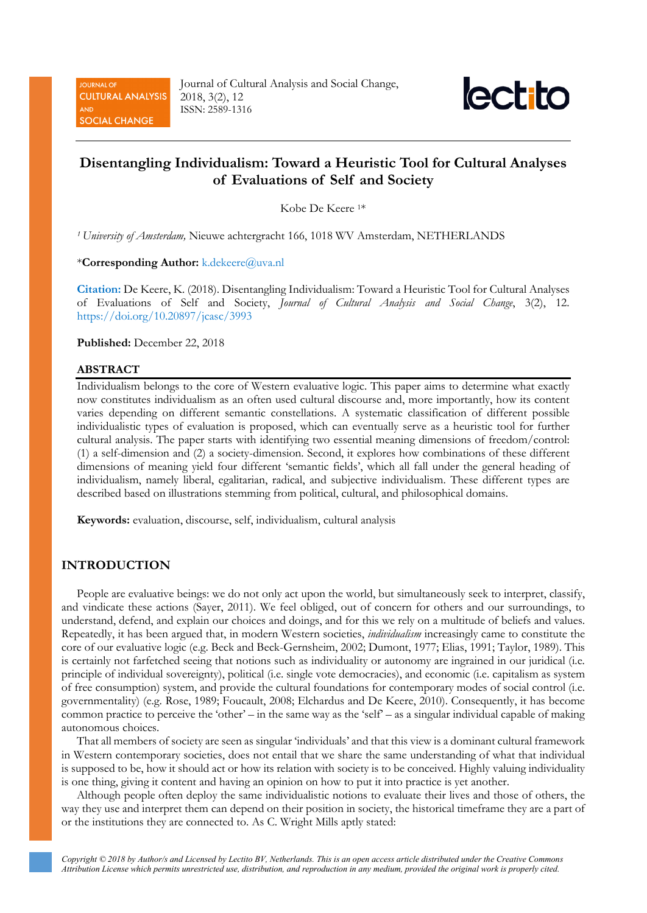**JOURNAL OF CULTURAL ANALYSIS SOCIAL CHANGE** 

Journal of Cultural Analysis and Social Change, 2018, 3(2), 12 ISSN: 2589-1316



## **Disentangling Individualism: Toward a Heuristic Tool for Cultural Analyses of Evaluations of Self and Society**

Kobe De Keere 1\*

*<sup>1</sup> University of Amsterdam,* Nieuwe achtergracht 166, 1018 WV Amsterdam, NETHERLANDS

\***Corresponding Author:** k.dekeere@uva.nl

**Citation:** De Keere, K. (2018). Disentangling Individualism: Toward a Heuristic Tool for Cultural Analyses of Evaluations of Self and Society, *Journal of Cultural Analysis and Social Change*, 3(2), 12. <https://doi.org/10.20897/jcasc/3993>

**Published:** December 22, 2018

#### **ABSTRACT**

Individualism belongs to the core of Western evaluative logic. This paper aims to determine what exactly now constitutes individualism as an often used cultural discourse and, more importantly, how its content varies depending on different semantic constellations. A systematic classification of different possible individualistic types of evaluation is proposed, which can eventually serve as a heuristic tool for further cultural analysis. The paper starts with identifying two essential meaning dimensions of freedom/control: (1) a self-dimension and (2) a society-dimension. Second, it explores how combinations of these different dimensions of meaning yield four different 'semantic fields', which all fall under the general heading of individualism, namely liberal, egalitarian, radical, and subjective individualism. These different types are described based on illustrations stemming from political, cultural, and philosophical domains.

**Keywords:** evaluation, discourse, self, individualism, cultural analysis

## **INTRODUCTION**

People are evaluative beings: we do not only act upon the world, but simultaneously seek to interpret, classify, and vindicate these actions (Sayer, 2011). We feel obliged, out of concern for others and our surroundings, to understand, defend, and explain our choices and doings, and for this we rely on a multitude of beliefs and values. Repeatedly, it has been argued that, in modern Western societies, *individualism* increasingly came to constitute the core of our evaluative logic (e.g. Beck and Beck-Gernsheim, 2002; Dumont, 1977; Elias, 1991; Taylor, 1989). This is certainly not farfetched seeing that notions such as individuality or autonomy are ingrained in our juridical (i.e. principle of individual sovereignty), political (i.e. single vote democracies), and economic (i.e. capitalism as system of free consumption) system, and provide the cultural foundations for contemporary modes of social control (i.e. governmentality) (e.g. Rose, 1989; Foucault, 2008; Elchardus and De Keere, 2010). Consequently, it has become common practice to perceive the 'other' – in the same way as the 'self' – as a singular individual capable of making autonomous choices.

That all members of society are seen as singular 'individuals' and that this view is a dominant cultural framework in Western contemporary societies, does not entail that we share the same understanding of what that individual is supposed to be, how it should act or how its relation with society is to be conceived. Highly valuing individuality is one thing, giving it content and having an opinion on how to put it into practice is yet another.

Although people often deploy the same individualistic notions to evaluate their lives and those of others, the way they use and interpret them can depend on their position in society, the historical timeframe they are a part of or the institutions they are connected to. As C. Wright Mills aptly stated: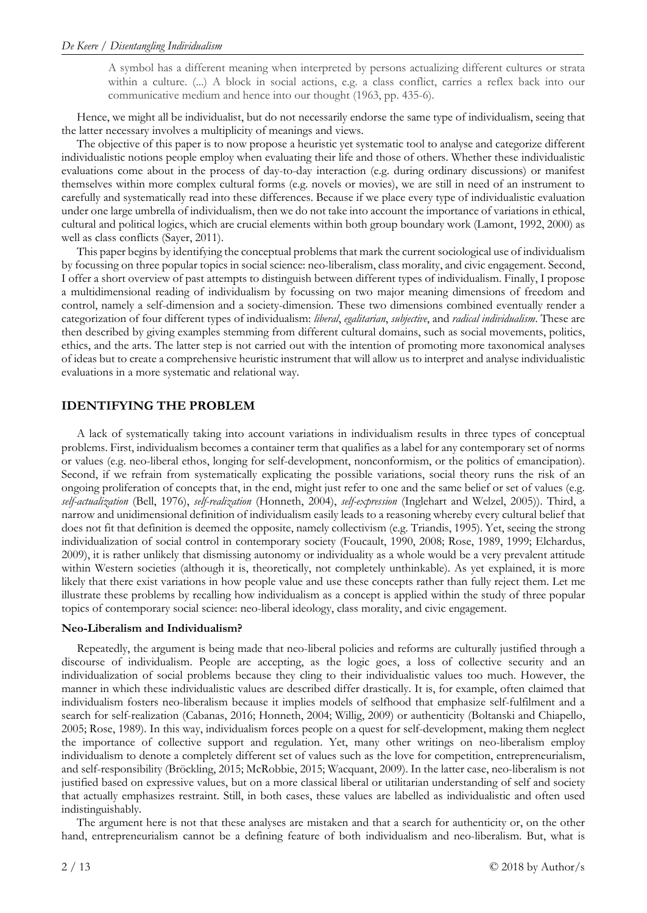A symbol has a different meaning when interpreted by persons actualizing different cultures or strata within a culture. (...) A block in social actions, e.g. a class conflict, carries a reflex back into our communicative medium and hence into our thought (1963, pp. 435-6).

Hence, we might all be individualist, but do not necessarily endorse the same type of individualism, seeing that the latter necessary involves a multiplicity of meanings and views.

The objective of this paper is to now propose a heuristic yet systematic tool to analyse and categorize different individualistic notions people employ when evaluating their life and those of others. Whether these individualistic evaluations come about in the process of day-to-day interaction (e.g. during ordinary discussions) or manifest themselves within more complex cultural forms (e.g. novels or movies), we are still in need of an instrument to carefully and systematically read into these differences. Because if we place every type of individualistic evaluation under one large umbrella of individualism, then we do not take into account the importance of variations in ethical, cultural and political logics, which are crucial elements within both group boundary work (Lamont, 1992, 2000) as well as class conflicts (Sayer, 2011).

This paper begins by identifying the conceptual problems that mark the current sociological use of individualism by focussing on three popular topics in social science: neo-liberalism, class morality, and civic engagement. Second, I offer a short overview of past attempts to distinguish between different types of individualism. Finally, I propose a multidimensional reading of individualism by focussing on two major meaning dimensions of freedom and control, namely a self-dimension and a society-dimension. These two dimensions combined eventually render a categorization of four different types of individualism: *liberal*, *egalitarian*, *subjective*, and *radical individualism*. These are then described by giving examples stemming from different cultural domains, such as social movements, politics, ethics, and the arts. The latter step is not carried out with the intention of promoting more taxonomical analyses of ideas but to create a comprehensive heuristic instrument that will allow us to interpret and analyse individualistic evaluations in a more systematic and relational way.

## **IDENTIFYING THE PROBLEM**

A lack of systematically taking into account variations in individualism results in three types of conceptual problems. First, individualism becomes a container term that qualifies as a label for any contemporary set of norms or values (e.g. neo-liberal ethos, longing for self-development, nonconformism, or the politics of emancipation). Second, if we refrain from systematically explicating the possible variations, social theory runs the risk of an ongoing proliferation of concepts that, in the end, might just refer to one and the same belief or set of values (e.g. *self-actualization* (Bell, 1976), *self-realization* (Honneth, 2004), *self-expression* (Inglehart and Welzel, 2005)). Third, a narrow and unidimensional definition of individualism easily leads to a reasoning whereby every cultural belief that does not fit that definition is deemed the opposite, namely collectivism (e.g. Triandis, 1995). Yet, seeing the strong individualization of social control in contemporary society (Foucault, 1990, 2008; Rose, 1989, 1999; Elchardus, 2009), it is rather unlikely that dismissing autonomy or individuality as a whole would be a very prevalent attitude within Western societies (although it is, theoretically, not completely unthinkable). As yet explained, it is more likely that there exist variations in how people value and use these concepts rather than fully reject them. Let me illustrate these problems by recalling how individualism as a concept is applied within the study of three popular topics of contemporary social science: neo-liberal ideology, class morality, and civic engagement.

#### **Neo-Liberalism and Individualism?**

Repeatedly, the argument is being made that neo-liberal policies and reforms are culturally justified through a discourse of individualism. People are accepting, as the logic goes, a loss of collective security and an individualization of social problems because they cling to their individualistic values too much. However, the manner in which these individualistic values are described differ drastically. It is, for example, often claimed that individualism fosters neo-liberalism because it implies models of selfhood that emphasize self-fulfilment and a search for self-realization (Cabanas, 2016; Honneth, 2004; Willig, 2009) or authenticity (Boltanski and Chiapello, 2005; Rose, 1989). In this way, individualism forces people on a quest for self-development, making them neglect the importance of collective support and regulation. Yet, many other writings on neo-liberalism employ individualism to denote a completely different set of values such as the love for competition, entrepreneurialism, and self-responsibility (Bröckling, 2015; McRobbie, 2015; Wacquant, 2009). In the latter case, neo-liberalism is not justified based on expressive values, but on a more classical liberal or utilitarian understanding of self and society that actually emphasizes restraint. Still, in both cases, these values are labelled as individualistic and often used indistinguishably.

The argument here is not that these analyses are mistaken and that a search for authenticity or, on the other hand, entrepreneurialism cannot be a defining feature of both individualism and neo-liberalism. But, what is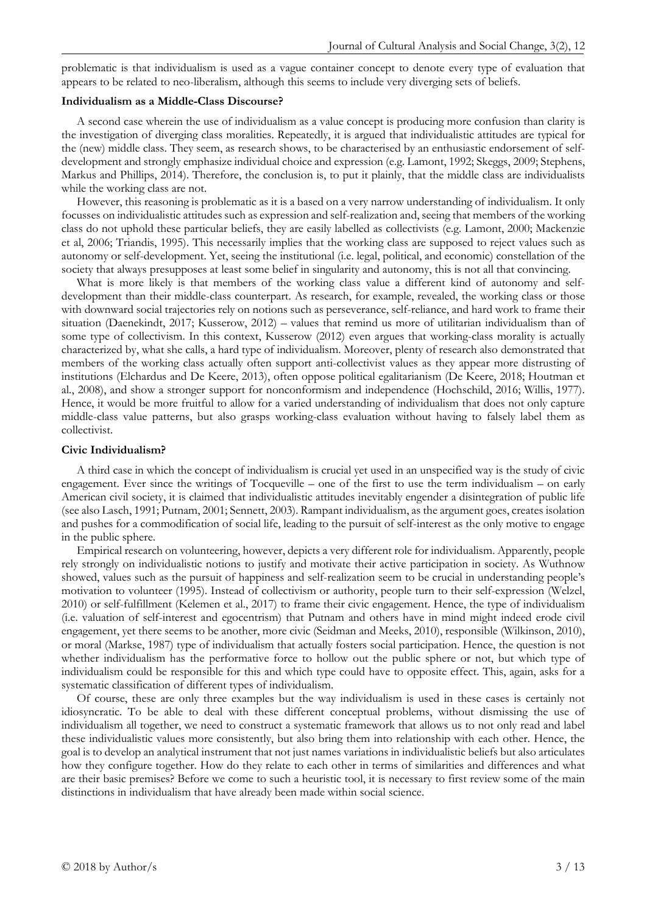problematic is that individualism is used as a vague container concept to denote every type of evaluation that appears to be related to neo-liberalism, although this seems to include very diverging sets of beliefs.

### **Individualism as a Middle-Class Discourse?**

A second case wherein the use of individualism as a value concept is producing more confusion than clarity is the investigation of diverging class moralities. Repeatedly, it is argued that individualistic attitudes are typical for the (new) middle class. They seem, as research shows, to be characterised by an enthusiastic endorsement of selfdevelopment and strongly emphasize individual choice and expression (e.g. Lamont, 1992; Skeggs, 2009; Stephens, Markus and Phillips, 2014). Therefore, the conclusion is, to put it plainly, that the middle class are individualists while the working class are not.

However, this reasoning is problematic as it is a based on a very narrow understanding of individualism. It only focusses on individualistic attitudes such as expression and self-realization and, seeing that members of the working class do not uphold these particular beliefs, they are easily labelled as collectivists (e.g. Lamont, 2000; Mackenzie et al, 2006; Triandis, 1995). This necessarily implies that the working class are supposed to reject values such as autonomy or self-development. Yet, seeing the institutional (i.e. legal, political, and economic) constellation of the society that always presupposes at least some belief in singularity and autonomy, this is not all that convincing.

What is more likely is that members of the working class value a different kind of autonomy and selfdevelopment than their middle-class counterpart. As research, for example, revealed, the working class or those with downward social trajectories rely on notions such as perseverance, self-reliance, and hard work to frame their situation (Daenekindt, 2017; Kusserow, 2012) – values that remind us more of utilitarian individualism than of some type of collectivism. In this context, Kusserow (2012) even argues that working-class morality is actually characterized by, what she calls, a hard type of individualism. Moreover, plenty of research also demonstrated that members of the working class actually often support anti-collectivist values as they appear more distrusting of institutions (Elchardus and De Keere, 2013), often oppose political egalitarianism (De Keere, 2018; Houtman et al., 2008), and show a stronger support for nonconformism and independence (Hochschild, 2016; Willis, 1977). Hence, it would be more fruitful to allow for a varied understanding of individualism that does not only capture middle-class value patterns, but also grasps working-class evaluation without having to falsely label them as collectivist.

#### **Civic Individualism?**

A third case in which the concept of individualism is crucial yet used in an unspecified way is the study of civic engagement. Ever since the writings of Tocqueville – one of the first to use the term individualism – on early American civil society, it is claimed that individualistic attitudes inevitably engender a disintegration of public life (see also Lasch, 1991; Putnam, 2001; Sennett, 2003). Rampant individualism, as the argument goes, creates isolation and pushes for a commodification of social life, leading to the pursuit of self-interest as the only motive to engage in the public sphere.

Empirical research on volunteering, however, depicts a very different role for individualism. Apparently, people rely strongly on individualistic notions to justify and motivate their active participation in society. As Wuthnow showed, values such as the pursuit of happiness and self-realization seem to be crucial in understanding people's motivation to volunteer (1995). Instead of collectivism or authority, people turn to their self-expression (Welzel, 2010) or self-fulfillment (Kelemen et al., 2017) to frame their civic engagement. Hence, the type of individualism (i.e. valuation of self-interest and egocentrism) that Putnam and others have in mind might indeed erode civil engagement, yet there seems to be another, more civic (Seidman and Meeks, 2010), responsible (Wilkinson, 2010), or moral (Markse, 1987) type of individualism that actually fosters social participation. Hence, the question is not whether individualism has the performative force to hollow out the public sphere or not, but which type of individualism could be responsible for this and which type could have to opposite effect. This, again, asks for a systematic classification of different types of individualism.

Of course, these are only three examples but the way individualism is used in these cases is certainly not idiosyncratic. To be able to deal with these different conceptual problems, without dismissing the use of individualism all together, we need to construct a systematic framework that allows us to not only read and label these individualistic values more consistently, but also bring them into relationship with each other. Hence, the goal is to develop an analytical instrument that not just names variations in individualistic beliefs but also articulates how they configure together. How do they relate to each other in terms of similarities and differences and what are their basic premises? Before we come to such a heuristic tool, it is necessary to first review some of the main distinctions in individualism that have already been made within social science.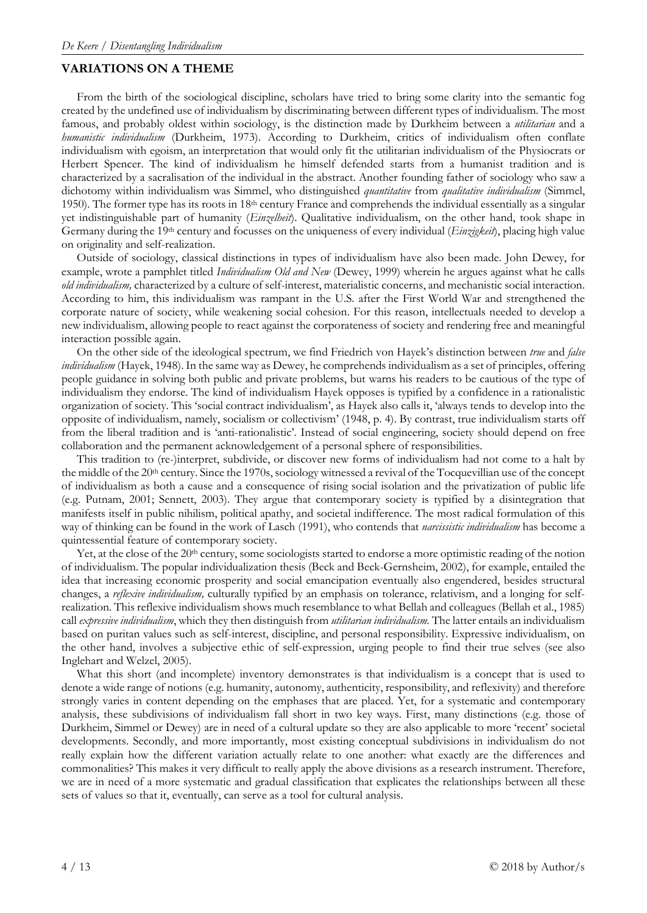## **VARIATIONS ON A THEME**

From the birth of the sociological discipline, scholars have tried to bring some clarity into the semantic fog created by the undefined use of individualism by discriminating between different types of individualism. The most famous, and probably oldest within sociology, is the distinction made by Durkheim between a *utilitarian* and a *humanistic individualism* (Durkheim, 1973). According to Durkheim, critics of individualism often conflate individualism with egoism, an interpretation that would only fit the utilitarian individualism of the Physiocrats or Herbert Spencer. The kind of individualism he himself defended starts from a humanist tradition and is characterized by a sacralisation of the individual in the abstract. Another founding father of sociology who saw a dichotomy within individualism was Simmel, who distinguished *quantitative* from *qualitative individualism* (Simmel, 1950). The former type has its roots in  $18<sup>th</sup>$  century France and comprehends the individual essentially as a singular yet indistinguishable part of humanity (*Einzelheit*). Qualitative individualism, on the other hand, took shape in Germany during the 19th century and focusses on the uniqueness of every individual (*Einzigkeit*), placing high value on originality and self-realization.

Outside of sociology, classical distinctions in types of individualism have also been made. John Dewey, for example, wrote a pamphlet titled *Individualism Old and New* (Dewey, 1999) wherein he argues against what he calls *old individualism,* characterized by a culture of self-interest, materialistic concerns, and mechanistic social interaction. According to him, this individualism was rampant in the U.S. after the First World War and strengthened the corporate nature of society, while weakening social cohesion. For this reason, intellectuals needed to develop a new individualism, allowing people to react against the corporateness of society and rendering free and meaningful interaction possible again.

On the other side of the ideological spectrum, we find Friedrich von Hayek's distinction between *true* and *false individualism* (Hayek, 1948). In the same way as Dewey, he comprehends individualism as a set of principles, offering people guidance in solving both public and private problems, but warns his readers to be cautious of the type of individualism they endorse. The kind of individualism Hayek opposes is typified by a confidence in a rationalistic organization of society. This 'social contract individualism', as Hayek also calls it, 'always tends to develop into the opposite of individualism, namely, socialism or collectivism' (1948, p. 4). By contrast, true individualism starts off from the liberal tradition and is 'anti-rationalistic'. Instead of social engineering, society should depend on free collaboration and the permanent acknowledgement of a personal sphere of responsibilities.

This tradition to (re-)interpret, subdivide, or discover new forms of individualism had not come to a halt by the middle of the 20th century. Since the 1970s, sociology witnessed a revival of the Tocquevillian use of the concept of individualism as both a cause and a consequence of rising social isolation and the privatization of public life (e.g. Putnam, 2001; Sennett, 2003). They argue that contemporary society is typified by a disintegration that manifests itself in public nihilism, political apathy, and societal indifference. The most radical formulation of this way of thinking can be found in the work of Lasch (1991), who contends that *narcissistic individualism* has become a quintessential feature of contemporary society.

Yet, at the close of the 20<sup>th</sup> century, some sociologists started to endorse a more optimistic reading of the notion of individualism. The popular individualization thesis (Beck and Beck-Gernsheim, 2002), for example, entailed the idea that increasing economic prosperity and social emancipation eventually also engendered, besides structural changes, a *reflexive individualism,* culturally typified by an emphasis on tolerance, relativism, and a longing for selfrealization. This reflexive individualism shows much resemblance to what Bellah and colleagues (Bellah et al., 1985) call *expressive individualism*, which they then distinguish from *utilitarian individualism.* The latter entails an individualism based on puritan values such as self-interest, discipline, and personal responsibility. Expressive individualism, on the other hand, involves a subjective ethic of self-expression, urging people to find their true selves (see also Inglehart and Welzel, 2005).

What this short (and incomplete) inventory demonstrates is that individualism is a concept that is used to denote a wide range of notions (e.g. humanity, autonomy, authenticity, responsibility, and reflexivity) and therefore strongly varies in content depending on the emphases that are placed. Yet, for a systematic and contemporary analysis, these subdivisions of individualism fall short in two key ways. First, many distinctions (e.g. those of Durkheim, Simmel or Dewey) are in need of a cultural update so they are also applicable to more 'recent' societal developments. Secondly, and more importantly, most existing conceptual subdivisions in individualism do not really explain how the different variation actually relate to one another: what exactly are the differences and commonalities? This makes it very difficult to really apply the above divisions as a research instrument. Therefore, we are in need of a more systematic and gradual classification that explicates the relationships between all these sets of values so that it, eventually, can serve as a tool for cultural analysis.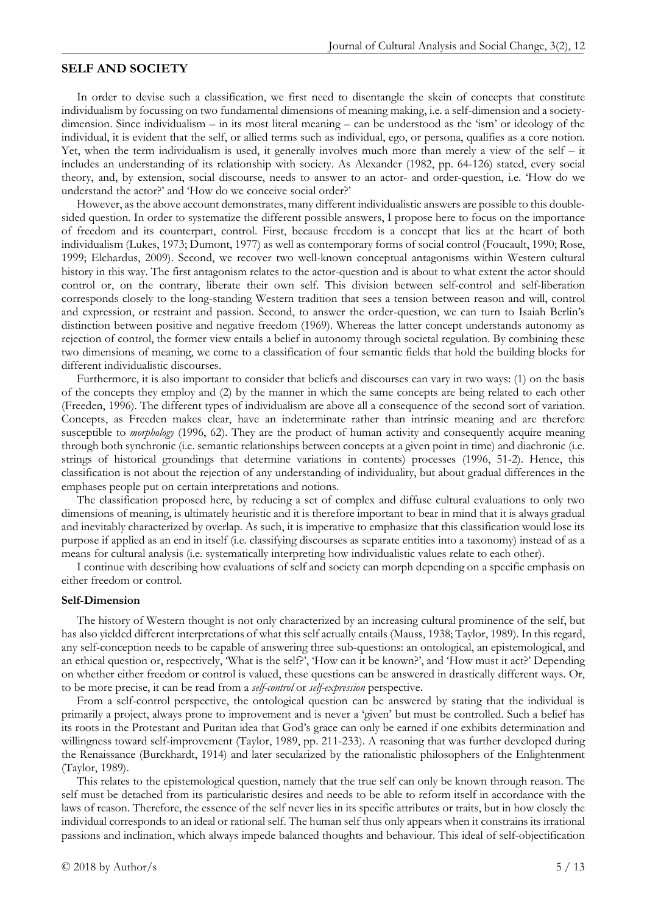## **SELF AND SOCIETY**

In order to devise such a classification, we first need to disentangle the skein of concepts that constitute individualism by focussing on two fundamental dimensions of meaning making, i.e. a self-dimension and a societydimension. Since individualism – in its most literal meaning – can be understood as the 'ism' or ideology of the individual, it is evident that the self, or allied terms such as individual, ego, or persona, qualifies as a core notion. Yet, when the term individualism is used, it generally involves much more than merely a view of the self – it includes an understanding of its relationship with society. As Alexander (1982, pp. 64-126) stated, every social theory, and, by extension, social discourse, needs to answer to an actor- and order-question, i.e. 'How do we understand the actor?' and 'How do we conceive social order?'

However, as the above account demonstrates, many different individualistic answers are possible to this doublesided question. In order to systematize the different possible answers, I propose here to focus on the importance of freedom and its counterpart, control. First, because freedom is a concept that lies at the heart of both individualism (Lukes, 1973; Dumont, 1977) as well as contemporary forms of social control (Foucault, 1990; Rose, 1999; Elchardus, 2009). Second, we recover two well-known conceptual antagonisms within Western cultural history in this way. The first antagonism relates to the actor-question and is about to what extent the actor should control or, on the contrary, liberate their own self. This division between self-control and self-liberation corresponds closely to the long-standing Western tradition that sees a tension between reason and will, control and expression, or restraint and passion. Second, to answer the order-question, we can turn to Isaiah Berlin's distinction between positive and negative freedom (1969). Whereas the latter concept understands autonomy as rejection of control, the former view entails a belief in autonomy through societal regulation. By combining these two dimensions of meaning, we come to a classification of four semantic fields that hold the building blocks for different individualistic discourses.

Furthermore, it is also important to consider that beliefs and discourses can vary in two ways: (1) on the basis of the concepts they employ and (2) by the manner in which the same concepts are being related to each other (Freeden, 1996). The different types of individualism are above all a consequence of the second sort of variation. Concepts, as Freeden makes clear, have an indeterminate rather than intrinsic meaning and are therefore susceptible to *morphology* (1996, 62). They are the product of human activity and consequently acquire meaning through both synchronic (i.e. semantic relationships between concepts at a given point in time) and diachronic (i.e. strings of historical groundings that determine variations in contents) processes (1996, 51-2). Hence, this classification is not about the rejection of any understanding of individuality, but about gradual differences in the emphases people put on certain interpretations and notions.

The classification proposed here, by reducing a set of complex and diffuse cultural evaluations to only two dimensions of meaning, is ultimately heuristic and it is therefore important to bear in mind that it is always gradual and inevitably characterized by overlap. As such, it is imperative to emphasize that this classification would lose its purpose if applied as an end in itself (i.e. classifying discourses as separate entities into a taxonomy) instead of as a means for cultural analysis (i.e. systematically interpreting how individualistic values relate to each other).

I continue with describing how evaluations of self and society can morph depending on a specific emphasis on either freedom or control.

#### **Self-Dimension**

The history of Western thought is not only characterized by an increasing cultural prominence of the self, but has also yielded different interpretations of what this self actually entails (Mauss, 1938; Taylor, 1989). In this regard, any self-conception needs to be capable of answering three sub-questions: an ontological, an epistemological, and an ethical question or, respectively, 'What is the self?', 'How can it be known?', and 'How must it act?' Depending on whether either freedom or control is valued, these questions can be answered in drastically different ways. Or, to be more precise, it can be read from a *self-control* or *self-expression* perspective.

From a self-control perspective, the ontological question can be answered by stating that the individual is primarily a project, always prone to improvement and is never a 'given' but must be controlled. Such a belief has its roots in the Protestant and Puritan idea that God's grace can only be earned if one exhibits determination and willingness toward self-improvement (Taylor, 1989, pp. 211-233). A reasoning that was further developed during the Renaissance (Burckhardt, 1914) and later secularized by the rationalistic philosophers of the Enlightenment (Taylor, 1989).

This relates to the epistemological question, namely that the true self can only be known through reason. The self must be detached from its particularistic desires and needs to be able to reform itself in accordance with the laws of reason. Therefore, the essence of the self never lies in its specific attributes or traits, but in how closely the individual corresponds to an ideal or rational self. The human self thus only appears when it constrains its irrational passions and inclination, which always impede balanced thoughts and behaviour. This ideal of self-objectification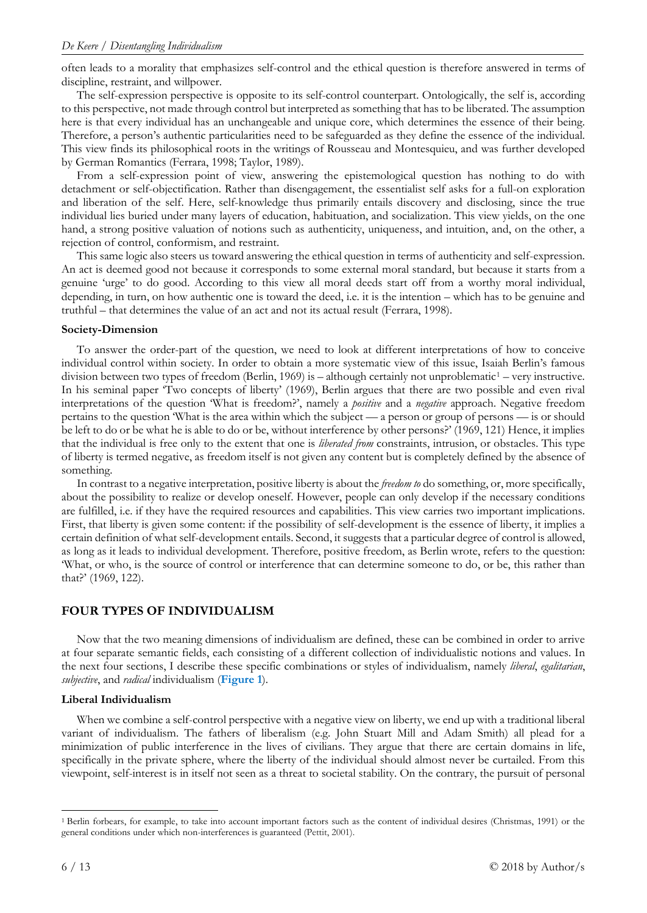often leads to a morality that emphasizes self-control and the ethical question is therefore answered in terms of discipline, restraint, and willpower.

The self-expression perspective is opposite to its self-control counterpart. Ontologically, the self is, according to this perspective, not made through control but interpreted as something that has to be liberated. The assumption here is that every individual has an unchangeable and unique core, which determines the essence of their being. Therefore, a person's authentic particularities need to be safeguarded as they define the essence of the individual. This view finds its philosophical roots in the writings of Rousseau and Montesquieu, and was further developed by German Romantics (Ferrara, 1998; Taylor, 1989).

From a self-expression point of view, answering the epistemological question has nothing to do with detachment or self-objectification. Rather than disengagement, the essentialist self asks for a full-on exploration and liberation of the self. Here, self-knowledge thus primarily entails discovery and disclosing, since the true individual lies buried under many layers of education, habituation, and socialization. This view yields, on the one hand, a strong positive valuation of notions such as authenticity, uniqueness, and intuition, and, on the other, a rejection of control, conformism, and restraint.

This same logic also steers us toward answering the ethical question in terms of authenticity and self-expression. An act is deemed good not because it corresponds to some external moral standard, but because it starts from a genuine 'urge' to do good. According to this view all moral deeds start off from a worthy moral individual, depending, in turn, on how authentic one is toward the deed, i.e. it is the intention – which has to be genuine and truthful – that determines the value of an act and not its actual result (Ferrara, 1998).

## **Society-Dimension**

To answer the order-part of the question, we need to look at different interpretations of how to conceive individual control within society. In order to obtain a more systematic view of this issue, Isaiah Berlin's famous division between two types of freedom (Berlin, [1](#page-6-0)969) is – although certainly not unproblematic<sup>1</sup> – very instructive. In his seminal paper 'Two concepts of liberty' (1969), Berlin argues that there are two possible and even rival interpretations of the question 'What is freedom?', namely a *positive* and a *negative* approach. Negative freedom pertains to the question 'What is the area within which the subject — a person or group of persons — is or should be left to do or be what he is able to do or be, without interference by other persons?' (1969, 121) Hence, it implies that the individual is free only to the extent that one is *liberated from* constraints, intrusion, or obstacles. This type of liberty is termed negative, as freedom itself is not given any content but is completely defined by the absence of something.

In contrast to a negative interpretation, positive liberty is about the *freedom to* do something, or, more specifically, about the possibility to realize or develop oneself. However, people can only develop if the necessary conditions are fulfilled, i.e. if they have the required resources and capabilities. This view carries two important implications. First, that liberty is given some content: if the possibility of self-development is the essence of liberty, it implies a certain definition of what self-development entails. Second, it suggests that a particular degree of control is allowed, as long as it leads to individual development. Therefore, positive freedom, as Berlin wrote, refers to the question: 'What, or who, is the source of control or interference that can determine someone to do, or be, this rather than that?' (1969, 122).

## **FOUR TYPES OF INDIVIDUALISM**

Now that the two meaning dimensions of individualism are defined, these can be combined in order to arrive at four separate semantic fields, each consisting of a different collection of individualistic notions and values. In the next four sections, I describe these specific combinations or styles of individualism, namely *liberal*, *egalitarian*, *subjective*, and *radical* individualism (**Figure 1**).

## **Liberal Individualism**

When we combine a self-control perspective with a negative view on liberty, we end up with a traditional liberal variant of individualism. The fathers of liberalism (e.g. John Stuart Mill and Adam Smith) all plead for a minimization of public interference in the lives of civilians. They argue that there are certain domains in life, specifically in the private sphere, where the liberty of the individual should almost never be curtailed. From this viewpoint, self-interest is in itself not seen as a threat to societal stability. On the contrary, the pursuit of personal

<span id="page-6-0"></span> <sup>1</sup> Berlin forbears, for example, to take into account important factors such as the content of individual desires (Christmas, 1991) or the general conditions under which non-interferences is guaranteed (Pettit, 2001).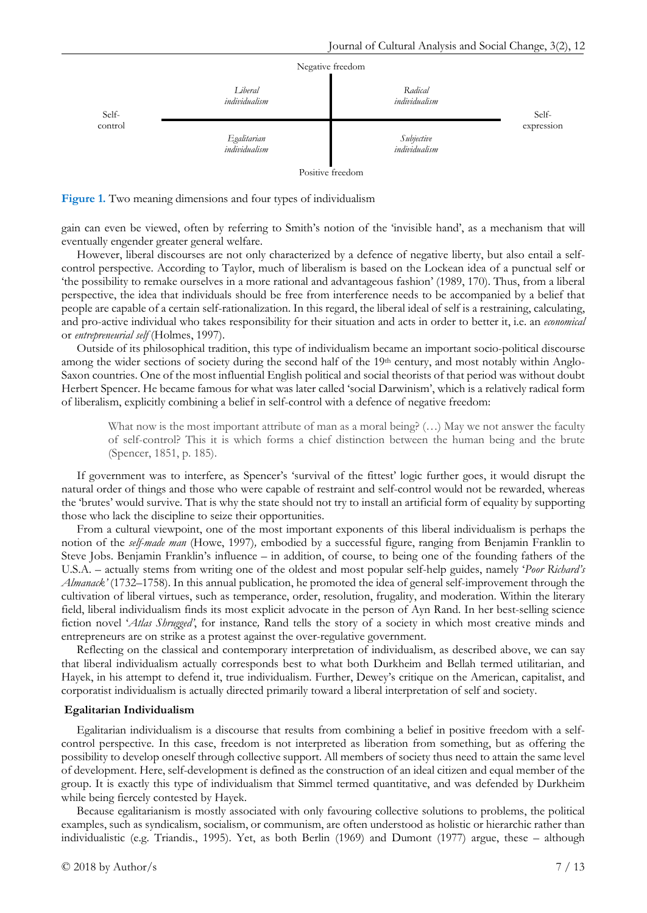

**Figure 1.** Two meaning dimensions and four types of individualism

gain can even be viewed, often by referring to Smith's notion of the 'invisible hand', as a mechanism that will eventually engender greater general welfare.

However, liberal discourses are not only characterized by a defence of negative liberty, but also entail a selfcontrol perspective. According to Taylor, much of liberalism is based on the Lockean idea of a punctual self or 'the possibility to remake ourselves in a more rational and advantageous fashion' (1989, 170). Thus, from a liberal perspective, the idea that individuals should be free from interference needs to be accompanied by a belief that people are capable of a certain self-rationalization. In this regard, the liberal ideal of self is a restraining, calculating, and pro-active individual who takes responsibility for their situation and acts in order to better it, i.e. an *economical* or *entrepreneurial self* (Holmes, 1997).

Outside of its philosophical tradition, this type of individualism became an important socio-political discourse among the wider sections of society during the second half of the 19<sup>th</sup> century, and most notably within Anglo-Saxon countries. One of the most influential English political and social theorists of that period was without doubt Herbert Spencer. He became famous for what was later called 'social Darwinism', which is a relatively radical form of liberalism, explicitly combining a belief in self-control with a defence of negative freedom:

What now is the most important attribute of man as a moral being?  $(...)$  May we not answer the faculty of self-control? This it is which forms a chief distinction between the human being and the brute (Spencer, 1851, p. 185).

If government was to interfere, as Spencer's 'survival of the fittest' logic further goes, it would disrupt the natural order of things and those who were capable of restraint and self-control would not be rewarded, whereas the 'brutes' would survive. That is why the state should not try to install an artificial form of equality by supporting those who lack the discipline to seize their opportunities.

From a cultural viewpoint, one of the most important exponents of this liberal individualism is perhaps the notion of the *self-made man* (Howe, 1997)*,* embodied by a successful figure, ranging from Benjamin Franklin to Steve Jobs. Benjamin Franklin's influence – in addition, of course, to being one of the founding fathers of the U.S.A. – actually stems from writing one of the oldest and most popular self-help guides, namely '*Poor Richard's Almanack'* (1732–1758). In this annual publication, he promoted the idea of general self-improvement through the cultivation of liberal virtues, such as temperance, order, resolution, frugality, and moderation. Within the literary field, liberal individualism finds its most explicit advocate in the person of Ayn Rand. In her best-selling science fiction novel '*Atlas Shrugged'*, for instance*,* Rand tells the story of a society in which most creative minds and entrepreneurs are on strike as a protest against the over-regulative government.

Reflecting on the classical and contemporary interpretation of individualism, as described above, we can say that liberal individualism actually corresponds best to what both Durkheim and Bellah termed utilitarian, and Hayek, in his attempt to defend it, true individualism. Further, Dewey's critique on the American, capitalist, and corporatist individualism is actually directed primarily toward a liberal interpretation of self and society.

#### **Egalitarian Individualism**

Egalitarian individualism is a discourse that results from combining a belief in positive freedom with a selfcontrol perspective. In this case, freedom is not interpreted as liberation from something, but as offering the possibility to develop oneself through collective support. All members of society thus need to attain the same level of development. Here, self-development is defined as the construction of an ideal citizen and equal member of the group. It is exactly this type of individualism that Simmel termed quantitative, and was defended by Durkheim while being fiercely contested by Hayek.

Because egalitarianism is mostly associated with only favouring collective solutions to problems, the political examples, such as syndicalism, socialism, or communism, are often understood as holistic or hierarchic rather than individualistic (e.g. Triandis., 1995). Yet, as both Berlin (1969) and Dumont (1977) argue, these – although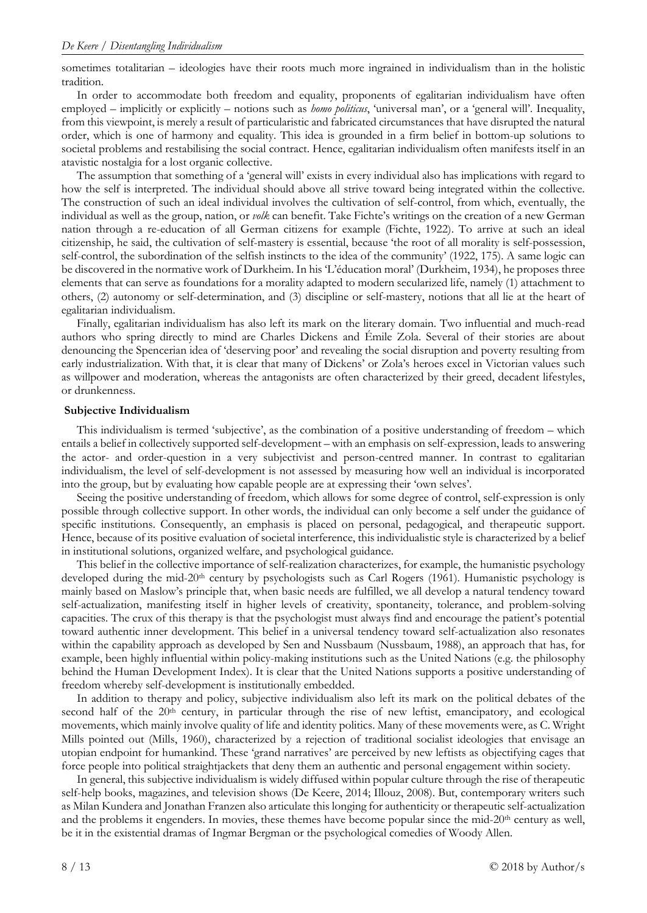sometimes totalitarian – ideologies have their roots much more ingrained in individualism than in the holistic tradition.

In order to accommodate both freedom and equality, proponents of egalitarian individualism have often employed – implicitly or explicitly – notions such as *homo politicus*, 'universal man', or a 'general will'. Inequality, from this viewpoint, is merely a result of particularistic and fabricated circumstances that have disrupted the natural order, which is one of harmony and equality. This idea is grounded in a firm belief in bottom-up solutions to societal problems and restabilising the social contract. Hence, egalitarian individualism often manifests itself in an atavistic nostalgia for a lost organic collective.

The assumption that something of a 'general will' exists in every individual also has implications with regard to how the self is interpreted. The individual should above all strive toward being integrated within the collective. The construction of such an ideal individual involves the cultivation of self-control, from which, eventually, the individual as well as the group, nation, or *volk* can benefit. Take Fichte's writings on the creation of a new German nation through a re-education of all German citizens for example (Fichte, 1922). To arrive at such an ideal citizenship, he said, the cultivation of self-mastery is essential, because 'the root of all morality is self-possession, self-control, the subordination of the selfish instincts to the idea of the community' (1922, 175). A same logic can be discovered in the normative work of Durkheim. In his 'L'éducation moral' (Durkheim, 1934), he proposes three elements that can serve as foundations for a morality adapted to modern secularized life, namely (1) attachment to others, (2) autonomy or self-determination, and (3) discipline or self-mastery, notions that all lie at the heart of egalitarian individualism.

Finally, egalitarian individualism has also left its mark on the literary domain. Two influential and much-read authors who spring directly to mind are Charles Dickens and Émile Zola. Several of their stories are about denouncing the Spencerian idea of 'deserving poor' and revealing the social disruption and poverty resulting from early industrialization. With that, it is clear that many of Dickens' or Zola's heroes excel in Victorian values such as willpower and moderation, whereas the antagonists are often characterized by their greed, decadent lifestyles, or drunkenness.

#### **Subjective Individualism**

This individualism is termed 'subjective', as the combination of a positive understanding of freedom – which entails a belief in collectively supported self-development – with an emphasis on self-expression, leads to answering the actor- and order-question in a very subjectivist and person-centred manner. In contrast to egalitarian individualism, the level of self-development is not assessed by measuring how well an individual is incorporated into the group, but by evaluating how capable people are at expressing their 'own selves'.

Seeing the positive understanding of freedom, which allows for some degree of control, self-expression is only possible through collective support. In other words, the individual can only become a self under the guidance of specific institutions. Consequently, an emphasis is placed on personal, pedagogical, and therapeutic support. Hence, because of its positive evaluation of societal interference, this individualistic style is characterized by a belief in institutional solutions, organized welfare, and psychological guidance.

This belief in the collective importance of self-realization characterizes, for example, the humanistic psychology developed during the mid-20<sup>th</sup> century by psychologists such as Carl Rogers (1961). Humanistic psychology is mainly based on Maslow's principle that, when basic needs are fulfilled, we all develop a natural tendency toward self-actualization, manifesting itself in higher levels of creativity, spontaneity, tolerance, and problem-solving capacities. The crux of this therapy is that the psychologist must always find and encourage the patient's potential toward authentic inner development. This belief in a universal tendency toward self-actualization also resonates within the capability approach as developed by Sen and Nussbaum (Nussbaum, 1988), an approach that has, for example, been highly influential within policy-making institutions such as the United Nations (e.g. the philosophy behind the Human Development Index). It is clear that the United Nations supports a positive understanding of freedom whereby self-development is institutionally embedded.

In addition to therapy and policy, subjective individualism also left its mark on the political debates of the second half of the  $20<sup>th</sup>$  century, in particular through the rise of new leftist, emancipatory, and ecological movements, which mainly involve quality of life and identity politics. Many of these movements were, as C. Wright Mills pointed out (Mills, 1960), characterized by a rejection of traditional socialist ideologies that envisage an utopian endpoint for humankind. These 'grand narratives' are perceived by new leftists as objectifying cages that force people into political straightjackets that deny them an authentic and personal engagement within society.

In general, this subjective individualism is widely diffused within popular culture through the rise of therapeutic self-help books, magazines, and television shows (De Keere, 2014; Illouz, 2008). But, contemporary writers such as Milan Kundera and Jonathan Franzen also articulate this longing for authenticity or therapeutic self-actualization and the problems it engenders. In movies, these themes have become popular since the mid- $20<sup>th</sup>$  century as well, be it in the existential dramas of Ingmar Bergman or the psychological comedies of Woody Allen.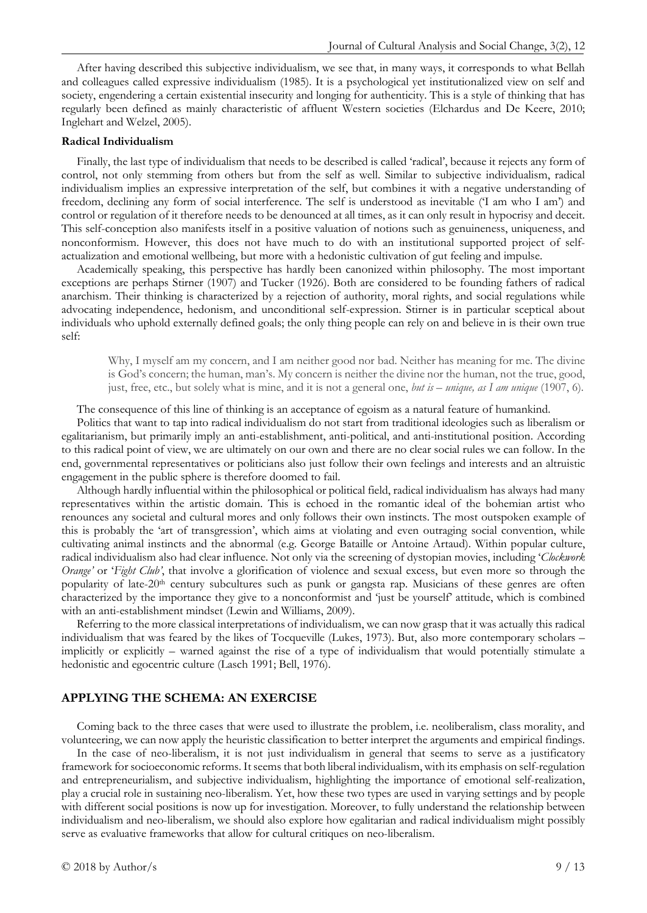After having described this subjective individualism, we see that, in many ways, it corresponds to what Bellah and colleagues called expressive individualism (1985). It is a psychological yet institutionalized view on self and society, engendering a certain existential insecurity and longing for authenticity. This is a style of thinking that has regularly been defined as mainly characteristic of affluent Western societies (Elchardus and De Keere, 2010; Inglehart and Welzel, 2005).

#### **Radical Individualism**

Finally, the last type of individualism that needs to be described is called 'radical', because it rejects any form of control, not only stemming from others but from the self as well. Similar to subjective individualism, radical individualism implies an expressive interpretation of the self, but combines it with a negative understanding of freedom, declining any form of social interference. The self is understood as inevitable ('I am who I am') and control or regulation of it therefore needs to be denounced at all times, as it can only result in hypocrisy and deceit. This self-conception also manifests itself in a positive valuation of notions such as genuineness, uniqueness, and nonconformism. However, this does not have much to do with an institutional supported project of selfactualization and emotional wellbeing, but more with a hedonistic cultivation of gut feeling and impulse.

Academically speaking, this perspective has hardly been canonized within philosophy. The most important exceptions are perhaps Stirner (1907) and Tucker (1926). Both are considered to be founding fathers of radical anarchism. Their thinking is characterized by a rejection of authority, moral rights, and social regulations while advocating independence, hedonism, and unconditional self-expression. Stirner is in particular sceptical about individuals who uphold externally defined goals; the only thing people can rely on and believe in is their own true self:

Why, I myself am my concern, and I am neither good nor bad. Neither has meaning for me. The divine is God's concern; the human, man's. My concern is neither the divine nor the human, not the true, good, just, free, etc., but solely what is mine, and it is not a general one, *but is – unique, as I am unique* (1907, 6)*.*

The consequence of this line of thinking is an acceptance of egoism as a natural feature of humankind.

Politics that want to tap into radical individualism do not start from traditional ideologies such as liberalism or egalitarianism, but primarily imply an anti-establishment, anti-political, and anti-institutional position. According to this radical point of view, we are ultimately on our own and there are no clear social rules we can follow. In the end, governmental representatives or politicians also just follow their own feelings and interests and an altruistic engagement in the public sphere is therefore doomed to fail.

Although hardly influential within the philosophical or political field, radical individualism has always had many representatives within the artistic domain. This is echoed in the romantic ideal of the bohemian artist who renounces any societal and cultural mores and only follows their own instincts. The most outspoken example of this is probably the 'art of transgression', which aims at violating and even outraging social convention, while cultivating animal instincts and the abnormal (e.g. George Bataille or Antoine Artaud). Within popular culture, radical individualism also had clear influence. Not only via the screening of dystopian movies, including '*Clockwork Orange'* or '*Fight Club'*, that involve a glorification of violence and sexual excess, but even more so through the popularity of late-20<sup>th</sup> century subcultures such as punk or gangsta rap. Musicians of these genres are often characterized by the importance they give to a nonconformist and 'just be yourself' attitude, which is combined with an anti-establishment mindset (Lewin and Williams, 2009).

Referring to the more classical interpretations of individualism, we can now grasp that it was actually this radical individualism that was feared by the likes of Tocqueville (Lukes, 1973). But, also more contemporary scholars – implicitly or explicitly – warned against the rise of a type of individualism that would potentially stimulate a hedonistic and egocentric culture (Lasch 1991; Bell, 1976).

### **APPLYING THE SCHEMA: AN EXERCISE**

Coming back to the three cases that were used to illustrate the problem, i.e. neoliberalism, class morality, and volunteering, we can now apply the heuristic classification to better interpret the arguments and empirical findings.

In the case of neo-liberalism, it is not just individualism in general that seems to serve as a justificatory framework for socioeconomic reforms. It seems that both liberal individualism, with its emphasis on self-regulation and entrepreneurialism, and subjective individualism, highlighting the importance of emotional self-realization, play a crucial role in sustaining neo-liberalism. Yet, how these two types are used in varying settings and by people with different social positions is now up for investigation. Moreover, to fully understand the relationship between individualism and neo-liberalism, we should also explore how egalitarian and radical individualism might possibly serve as evaluative frameworks that allow for cultural critiques on neo-liberalism.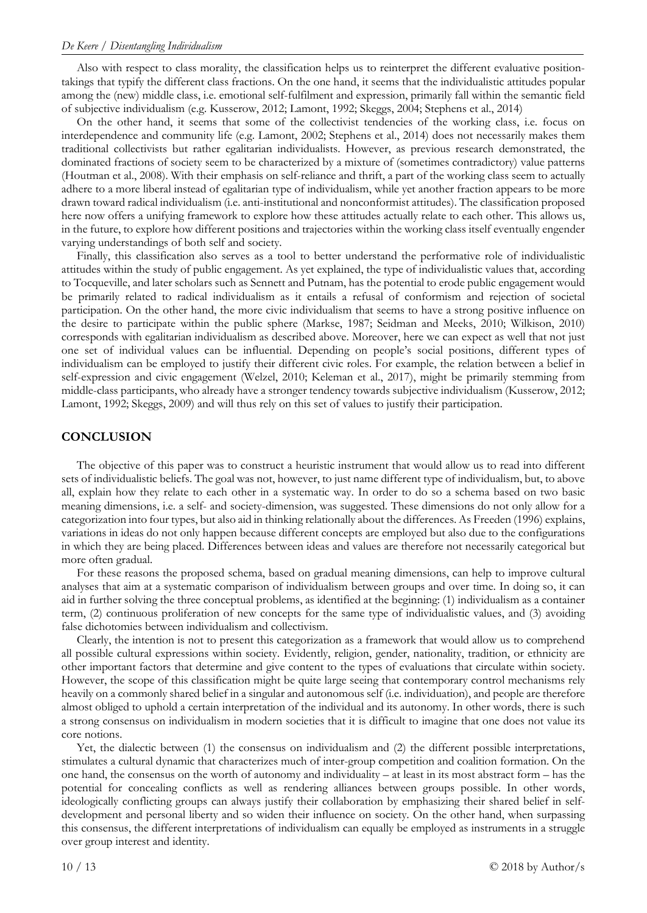Also with respect to class morality, the classification helps us to reinterpret the different evaluative positiontakings that typify the different class fractions. On the one hand, it seems that the individualistic attitudes popular among the (new) middle class, i.e. emotional self-fulfilment and expression, primarily fall within the semantic field of subjective individualism (e.g. Kusserow, 2012; Lamont, 1992; Skeggs, 2004; Stephens et al., 2014)

On the other hand, it seems that some of the collectivist tendencies of the working class, i.e. focus on interdependence and community life (e.g. Lamont, 2002; Stephens et al., 2014) does not necessarily makes them traditional collectivists but rather egalitarian individualists. However, as previous research demonstrated, the dominated fractions of society seem to be characterized by a mixture of (sometimes contradictory) value patterns (Houtman et al., 2008). With their emphasis on self-reliance and thrift, a part of the working class seem to actually adhere to a more liberal instead of egalitarian type of individualism, while yet another fraction appears to be more drawn toward radical individualism (i.e. anti-institutional and nonconformist attitudes). The classification proposed here now offers a unifying framework to explore how these attitudes actually relate to each other. This allows us, in the future, to explore how different positions and trajectories within the working class itself eventually engender varying understandings of both self and society.

Finally, this classification also serves as a tool to better understand the performative role of individualistic attitudes within the study of public engagement. As yet explained, the type of individualistic values that, according to Tocqueville, and later scholars such as Sennett and Putnam, has the potential to erode public engagement would be primarily related to radical individualism as it entails a refusal of conformism and rejection of societal participation. On the other hand, the more civic individualism that seems to have a strong positive influence on the desire to participate within the public sphere (Markse, 1987; Seidman and Meeks, 2010; Wilkison, 2010) corresponds with egalitarian individualism as described above. Moreover, here we can expect as well that not just one set of individual values can be influential. Depending on people's social positions, different types of individualism can be employed to justify their different civic roles. For example, the relation between a belief in self-expression and civic engagement (Welzel, 2010; Keleman et al., 2017), might be primarily stemming from middle-class participants, who already have a stronger tendency towards subjective individualism (Kusserow, 2012; Lamont, 1992; Skeggs, 2009) and will thus rely on this set of values to justify their participation.

## **CONCLUSION**

The objective of this paper was to construct a heuristic instrument that would allow us to read into different sets of individualistic beliefs. The goal was not, however, to just name different type of individualism, but, to above all, explain how they relate to each other in a systematic way. In order to do so a schema based on two basic meaning dimensions, i.e. a self- and society-dimension, was suggested. These dimensions do not only allow for a categorization into four types, but also aid in thinking relationally about the differences. As Freeden (1996) explains, variations in ideas do not only happen because different concepts are employed but also due to the configurations in which they are being placed. Differences between ideas and values are therefore not necessarily categorical but more often gradual.

For these reasons the proposed schema, based on gradual meaning dimensions, can help to improve cultural analyses that aim at a systematic comparison of individualism between groups and over time. In doing so, it can aid in further solving the three conceptual problems, as identified at the beginning: (1) individualism as a container term, (2) continuous proliferation of new concepts for the same type of individualistic values, and (3) avoiding false dichotomies between individualism and collectivism.

Clearly, the intention is not to present this categorization as a framework that would allow us to comprehend all possible cultural expressions within society. Evidently, religion, gender, nationality, tradition, or ethnicity are other important factors that determine and give content to the types of evaluations that circulate within society. However, the scope of this classification might be quite large seeing that contemporary control mechanisms rely heavily on a commonly shared belief in a singular and autonomous self (i.e. individuation), and people are therefore almost obliged to uphold a certain interpretation of the individual and its autonomy. In other words, there is such a strong consensus on individualism in modern societies that it is difficult to imagine that one does not value its core notions.

Yet, the dialectic between (1) the consensus on individualism and (2) the different possible interpretations, stimulates a cultural dynamic that characterizes much of inter-group competition and coalition formation. On the one hand, the consensus on the worth of autonomy and individuality – at least in its most abstract form – has the potential for concealing conflicts as well as rendering alliances between groups possible. In other words, ideologically conflicting groups can always justify their collaboration by emphasizing their shared belief in selfdevelopment and personal liberty and so widen their influence on society. On the other hand, when surpassing this consensus, the different interpretations of individualism can equally be employed as instruments in a struggle over group interest and identity.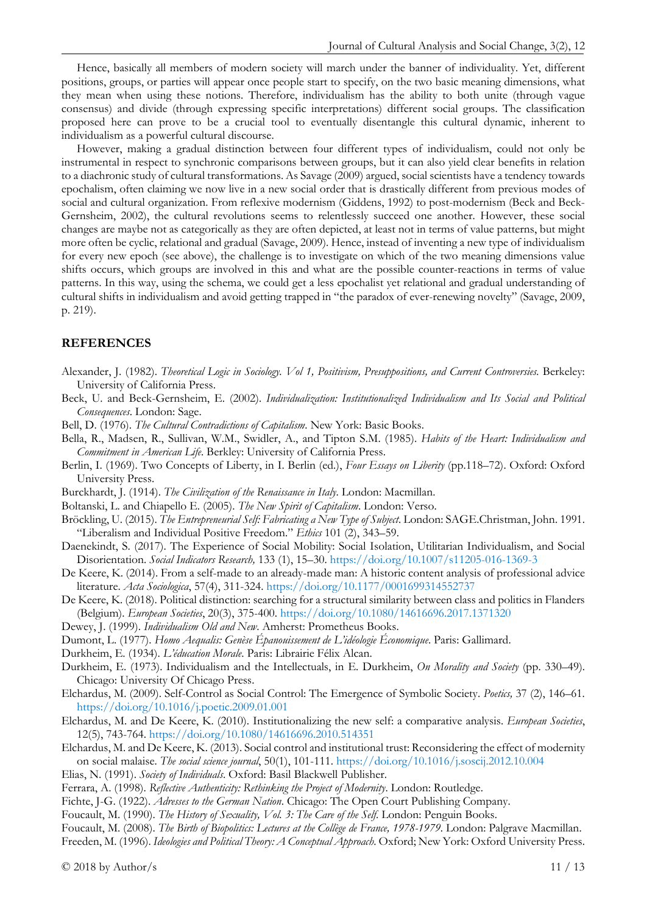Hence, basically all members of modern society will march under the banner of individuality. Yet, different positions, groups, or parties will appear once people start to specify, on the two basic meaning dimensions, what they mean when using these notions. Therefore, individualism has the ability to both unite (through vague consensus) and divide (through expressing specific interpretations) different social groups. The classification proposed here can prove to be a crucial tool to eventually disentangle this cultural dynamic, inherent to individualism as a powerful cultural discourse.

However, making a gradual distinction between four different types of individualism, could not only be instrumental in respect to synchronic comparisons between groups, but it can also yield clear benefits in relation to a diachronic study of cultural transformations. As Savage (2009) argued, social scientists have a tendency towards epochalism, often claiming we now live in a new social order that is drastically different from previous modes of social and cultural organization. From reflexive modernism (Giddens, 1992) to post-modernism (Beck and Beck-Gernsheim, 2002), the cultural revolutions seems to relentlessly succeed one another. However, these social changes are maybe not as categorically as they are often depicted, at least not in terms of value patterns, but might more often be cyclic, relational and gradual (Savage, 2009). Hence, instead of inventing a new type of individualism for every new epoch (see above), the challenge is to investigate on which of the two meaning dimensions value shifts occurs, which groups are involved in this and what are the possible counter-reactions in terms of value patterns. In this way, using the schema, we could get a less epochalist yet relational and gradual understanding of cultural shifts in individualism and avoid getting trapped in "the paradox of ever-renewing novelty" (Savage, 2009, p. 219).

## **REFERENCES**

- Alexander, J. (1982). *Theoretical Logic in Sociology. Vol 1, Positivism, Presuppositions, and Current Controversies.* Berkeley: University of California Press.
- Beck, U. and Beck-Gernsheim, E. (2002). *Individualization: Institutionalized Individualism and Its Social and Political Consequences*. London: Sage.
- Bell, D. (1976). *The Cultural Contradictions of Capitalism*. New York: Basic Books.
- Bella, R., Madsen, R., Sullivan, W.M., Swidler, A., and Tipton S.M. (1985). *Habits of the Heart: Individualism and Commitment in American Life*. Berkley: University of California Press.
- Berlin, I. (1969). Two Concepts of Liberty, in I. Berlin (ed.), *Four Essays on Liberity* (pp.118–72). Oxford: Oxford University Press.
- Burckhardt, J. (1914). *The Civilization of the Renaissance in Italy*. London: Macmillan.
- Boltanski, L. and Chiapello E. (2005). *The New Spirit of Capitalism*. London: Verso.
- Bröckling, U. (2015). *The Entrepreneurial Self: Fabricating a New Type of Subject*. London: SAGE.Christman, John. 1991. "Liberalism and Individual Positive Freedom." *Ethics* 101 (2), 343–59.
- Daenekindt, S. (2017). The Experience of Social Mobility: Social Isolation, Utilitarian Individualism, and Social Disorientation. *Social Indicators Research,* 133 (1), 15–30. <https://doi.org/10.1007/s11205-016-1369-3>
- De Keere, K. (2014). From a self-made to an already-made man: A historic content analysis of professional advice literature. *Acta Sociologica*, 57(4), 311-324.<https://doi.org/10.1177/0001699314552737>
- De Keere, K. (2018). Political distinction: searching for a structural similarity between class and politics in Flanders (Belgium). *European Societies*, 20(3), 375-400.<https://doi.org/10.1080/14616696.2017.1371320>
- Dewey, J. (1999). *Individualism Old and New*. Amherst: Prometheus Books.
- Dumont, L. (1977). *Homo Aequalis: Genèse Épanouissement de L'idéologie Économique*. Paris: Gallimard.
- Durkheim, E. (1934). *L'éducation Morale*. Paris: Librairie Félix Alcan.
- Durkheim, E. (1973). Individualism and the Intellectuals, in E. Durkheim, *On Morality and Society* (pp. 330–49). Chicago: University Of Chicago Press.
- Elchardus, M. (2009). Self-Control as Social Control: The Emergence of Symbolic Society. *Poetics,* 37 (2), 146–61. <https://doi.org/10.1016/j.poetic.2009.01.001>
- Elchardus, M. and De Keere, K. (2010). Institutionalizing the new self: a comparative analysis. *European Societies*, 12(5), 743-764.<https://doi.org/10.1080/14616696.2010.514351>
- Elchardus, M. and De Keere, K. (2013). Social control and institutional trust: Reconsidering the effect of modernity on social malaise. *The social science journal*, 50(1), 101-111.<https://doi.org/10.1016/j.soscij.2012.10.004>
- Elias, N. (1991). *Society of Individuals*. Oxford: Basil Blackwell Publisher.
- Ferrara, A. (1998). *Reflective Authenticity: Rethinking the Project of Modernity*. London: Routledge.
- Fichte, J-G. (1922). *Adresses to the German Nation*. Chicago: The Open Court Publishing Company.
- Foucault, M. (1990). *The History of Sexuality, Vol. 3: The Care of the Self*. London: Penguin Books.

Foucault, M. (2008). *The Birth of Biopolitics: Lectures at the Collège de France, 1978-1979*. London: Palgrave Macmillan.

Freeden, M. (1996). *Ideologies and Political Theory: A Conceptual Approach*. Oxford; New York: Oxford University Press.

 $\degree$  2018 by Author/s 11 / 13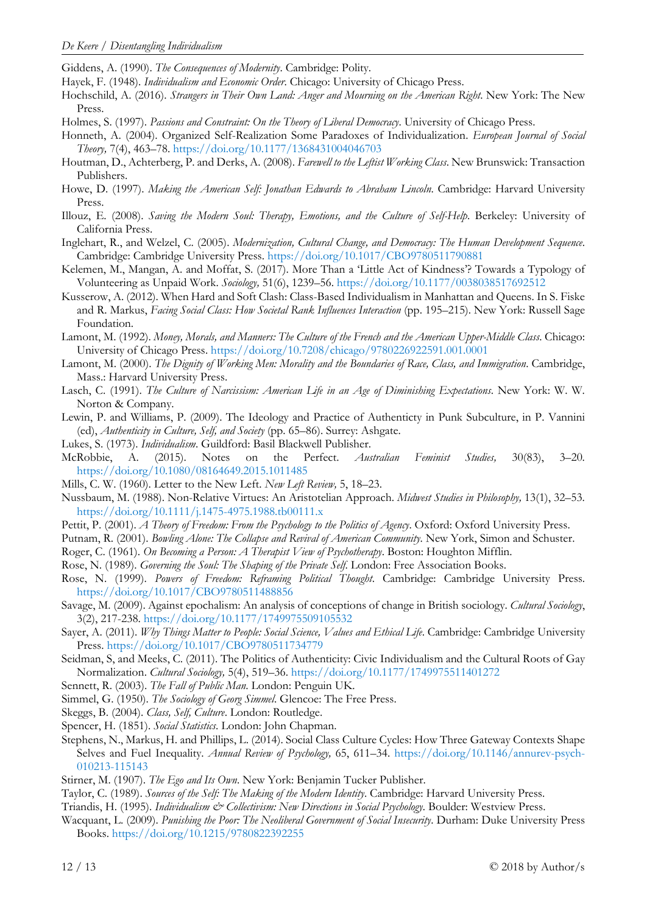Giddens, A. (1990). *The Consequences of Modernity*. Cambridge: Polity.

- Hayek, F. (1948). *Individualism and Economic Order*. Chicago: University of Chicago Press.
- Hochschild, A. (2016). *Strangers in Their Own Land: Anger and Mourning on the American Right*. New York: The New Press.
- Holmes, S. (1997). *Passions and Constraint: On the Theory of Liberal Democracy*. University of Chicago Press.
- Honneth, A. (2004). Organized Self-Realization Some Paradoxes of Individualization. *European Journal of Social Theory,* 7(4), 463–78. <https://doi.org/10.1177/1368431004046703>
- Houtman, D., Achterberg, P. and Derks, A. (2008). *Farewell to the Leftist Working Class*. New Brunswick: Transaction Publishers.
- Howe, D. (1997). *Making the American Self: Jonathan Edwards to Abraham Lincoln*. Cambridge: Harvard University Press.
- Illouz, E. (2008). *Saving the Modern Soul: Therapy, Emotions, and the Culture of Self-Help*. Berkeley: University of California Press.
- Inglehart, R., and Welzel, C. (2005). *Modernization, Cultural Change, and Democracy: The Human Development Sequence*. Cambridge: Cambridge University Press. <https://doi.org/10.1017/CBO9780511790881>
- Kelemen, M., Mangan, A. and Moffat, S. (2017). More Than a 'Little Act of Kindness'? Towards a Typology of Volunteering as Unpaid Work. *Sociology,* 51(6), 1239–56.<https://doi.org/10.1177/0038038517692512>
- Kusserow, A. (2012). When Hard and Soft Clash: Class-Based Individualism in Manhattan and Queens. In S. Fiske and R. Markus, *Facing Social Class: How Societal Rank Influences Interaction* (pp. 195–215). New York: Russell Sage Foundation.
- Lamont, M. (1992). *Money, Morals, and Manners: The Culture of the French and the American Upper-Middle Class*. Chicago: University of Chicago Press. <https://doi.org/10.7208/chicago/9780226922591.001.0001>
- Lamont, M. (2000). *The Dignity of Working Men: Morality and the Boundaries of Race, Class, and Immigration*. Cambridge, Mass.: Harvard University Press.
- Lasch, C. (1991). *The Culture of Narcissism: American Life in an Age of Diminishing Expectations*. New York: W. W. Norton & Company.
- Lewin, P. and Williams, P. (2009). The Ideology and Practice of Authenticty in Punk Subculture, in P. Vannini (ed), *Authenticity in Culture, Self, and Society* (pp. 65–86). Surrey: Ashgate.
- Lukes, S. (1973). *Individualism*. Guildford: Basil Blackwell Publisher.
- McRobbie, A. (2015). Notes on the Perfect. *Australian Feminist Studies,* 30(83), 3–20. <https://doi.org/10.1080/08164649.2015.1011485>
- Mills, C. W. (1960). Letter to the New Left. *New Left Review,* 5, 18–23.
- Nussbaum, M. (1988). Non-Relative Virtues: An Aristotelian Approach. *Midwest Studies in Philosophy,* 13(1), 32–53. <https://doi.org/10.1111/j.1475-4975.1988.tb00111.x>
- Pettit, P. (2001). *A Theory of Freedom: From the Psychology to the Politics of Agency*. Oxford: Oxford University Press.
- Putnam, R. (2001). *Bowling Alone: The Collapse and Revival of American Community*. New York, Simon and Schuster.
- Roger, C. (1961). *On Becoming a Person: A Therapist View of Psychotherapy*. Boston: Houghton Mifflin.
- Rose, N. (1989). *Governing the Soul: The Shaping of the Private Self*. London: Free Association Books.
- Rose, N. (1999). *Powers of Freedom: Reframing Political Thought*. Cambridge: Cambridge University Press. <https://doi.org/10.1017/CBO9780511488856>
- Savage, M. (2009). Against epochalism: An analysis of conceptions of change in British sociology. *Cultural Sociology*, 3(2), 217-238. <https://doi.org/10.1177/1749975509105532>
- Sayer, A. (2011). *Why Things Matter to People: Social Science, Values and Ethical Life*. Cambridge: Cambridge University Press. <https://doi.org/10.1017/CBO9780511734779>
- Seidman, S, and Meeks, C. (2011). The Politics of Authenticity: Civic Individualism and the Cultural Roots of Gay Normalization. *Cultural Sociology,* 5(4), 519–36. <https://doi.org/10.1177/1749975511401272>
- Sennett, R. (2003). *The Fall of Public Man*. London: Penguin UK.
- Simmel, G. (1950). *The Sociology of Georg Simmel*. Glencoe: The Free Press.
- Skeggs, B. (2004). *Class, Self, Culture*. London: Routledge.
- Spencer, H. (1851). *Social Statistics*. London: John Chapman.
- Stephens, N., Markus, H. and Phillips, L. (2014). Social Class Culture Cycles: How Three Gateway Contexts Shape Selves and Fuel Inequality. *Annual Review of Psychology,* 65, 611–34. [https://doi.org/10.1146/annurev-psych-](https://doi.org/10.1146/annurev-psych-010213-115143)[010213-115143](https://doi.org/10.1146/annurev-psych-010213-115143)
- Stirner, M. (1907). *The Ego and Its Own*. New York: Benjamin Tucker Publisher.
- Taylor, C. (1989). *Sources of the Self: The Making of the Modern Identity*. Cambridge: Harvard University Press.
- Triandis, H. (1995). *Individualism & Collectivism: New Directions in Social Psychology*. Boulder: Westview Press.
- Wacquant, L. (2009). *Punishing the Poor: The Neoliberal Government of Social Insecurity*. Durham: Duke University Press Books. <https://doi.org/10.1215/9780822392255>